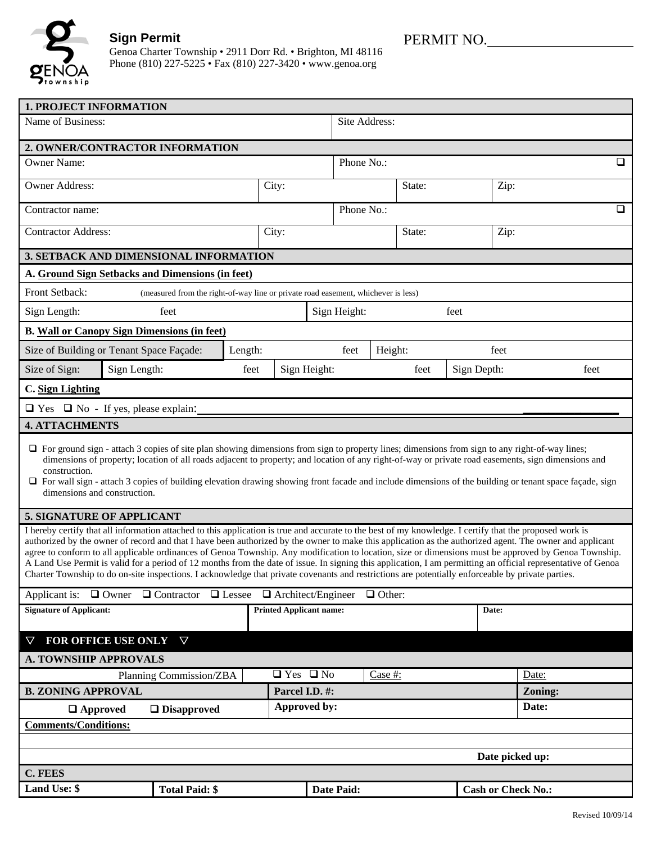

## **Sign Permit**

Genoa Charter Township • 2911 Dorr Rd. • Brighton, MI 48116 Phone (810) 227-5225 • Fax (810) 227-3420 • www.genoa.org

| <b>1. PROJECT INFORMATION</b>                                                                                                                                                                                                                                                                                                                                                                                                                                                                                                                                                                                                                                                                                                                                                                                                                                                                             |                                |                      |                |                     |        |      |                           |         |  |
|-----------------------------------------------------------------------------------------------------------------------------------------------------------------------------------------------------------------------------------------------------------------------------------------------------------------------------------------------------------------------------------------------------------------------------------------------------------------------------------------------------------------------------------------------------------------------------------------------------------------------------------------------------------------------------------------------------------------------------------------------------------------------------------------------------------------------------------------------------------------------------------------------------------|--------------------------------|----------------------|----------------|---------------------|--------|------|---------------------------|---------|--|
| Name of Business:                                                                                                                                                                                                                                                                                                                                                                                                                                                                                                                                                                                                                                                                                                                                                                                                                                                                                         |                                |                      |                | Site Address:       |        |      |                           |         |  |
| 2. OWNER/CONTRACTOR INFORMATION                                                                                                                                                                                                                                                                                                                                                                                                                                                                                                                                                                                                                                                                                                                                                                                                                                                                           |                                |                      |                |                     |        |      |                           |         |  |
| <b>Owner Name:</b>                                                                                                                                                                                                                                                                                                                                                                                                                                                                                                                                                                                                                                                                                                                                                                                                                                                                                        |                                |                      |                | Phone No.:<br>□     |        |      |                           |         |  |
| Owner Address:                                                                                                                                                                                                                                                                                                                                                                                                                                                                                                                                                                                                                                                                                                                                                                                                                                                                                            |                                | City:                |                |                     | State: |      | Zip:                      |         |  |
| Contractor name:                                                                                                                                                                                                                                                                                                                                                                                                                                                                                                                                                                                                                                                                                                                                                                                                                                                                                          |                                |                      |                | Phone No.:          |        |      | $\Box$                    |         |  |
| <b>Contractor Address:</b>                                                                                                                                                                                                                                                                                                                                                                                                                                                                                                                                                                                                                                                                                                                                                                                                                                                                                |                                | City:                |                |                     |        |      | Zip:                      |         |  |
| 3. SETBACK AND DIMENSIONAL INFORMATION                                                                                                                                                                                                                                                                                                                                                                                                                                                                                                                                                                                                                                                                                                                                                                                                                                                                    |                                |                      |                |                     |        |      |                           |         |  |
| A. Ground Sign Setbacks and Dimensions (in feet)                                                                                                                                                                                                                                                                                                                                                                                                                                                                                                                                                                                                                                                                                                                                                                                                                                                          |                                |                      |                |                     |        |      |                           |         |  |
| Front Setback:<br>(measured from the right-of-way line or private road easement, whichever is less)                                                                                                                                                                                                                                                                                                                                                                                                                                                                                                                                                                                                                                                                                                                                                                                                       |                                |                      |                |                     |        |      |                           |         |  |
| Sign Length:<br>feet                                                                                                                                                                                                                                                                                                                                                                                                                                                                                                                                                                                                                                                                                                                                                                                                                                                                                      |                                | Sign Height:<br>feet |                |                     |        |      |                           |         |  |
| <b>B. Wall or Canopy Sign Dimensions (in feet)</b>                                                                                                                                                                                                                                                                                                                                                                                                                                                                                                                                                                                                                                                                                                                                                                                                                                                        |                                |                      |                |                     |        |      |                           |         |  |
| Size of Building or Tenant Space Façade:<br>Length:                                                                                                                                                                                                                                                                                                                                                                                                                                                                                                                                                                                                                                                                                                                                                                                                                                                       |                                |                      | feet           | Height:             |        | feet |                           |         |  |
| Sign Length:<br>Size of Sign:                                                                                                                                                                                                                                                                                                                                                                                                                                                                                                                                                                                                                                                                                                                                                                                                                                                                             | Sign Height:<br>feet           |                      |                | Sign Depth:<br>feet |        |      | feet                      |         |  |
| C. Sign Lighting                                                                                                                                                                                                                                                                                                                                                                                                                                                                                                                                                                                                                                                                                                                                                                                                                                                                                          |                                |                      |                |                     |        |      |                           |         |  |
| $\Box$ Yes $\Box$ No - If yes, please explain:                                                                                                                                                                                                                                                                                                                                                                                                                                                                                                                                                                                                                                                                                                                                                                                                                                                            |                                |                      |                |                     |        |      |                           |         |  |
| <b>4. ATTACHMENTS</b>                                                                                                                                                                                                                                                                                                                                                                                                                                                                                                                                                                                                                                                                                                                                                                                                                                                                                     |                                |                      |                |                     |        |      |                           |         |  |
| □ For ground sign - attach 3 copies of site plan showing dimensions from sign to property lines; dimensions from sign to any right-of-way lines;<br>dimensions of property; location of all roads adjacent to property; and location of any right-of-way or private road easements, sign dimensions and<br>construction.<br>$\Box$ For wall sign - attach 3 copies of building elevation drawing showing front facade and include dimensions of the building or tenant space façade, sign<br>dimensions and construction.                                                                                                                                                                                                                                                                                                                                                                                 |                                |                      |                |                     |        |      |                           |         |  |
| <b>5. SIGNATURE OF APPLICANT</b>                                                                                                                                                                                                                                                                                                                                                                                                                                                                                                                                                                                                                                                                                                                                                                                                                                                                          |                                |                      |                |                     |        |      |                           |         |  |
| I hereby certify that all information attached to this application is true and accurate to the best of my knowledge. I certify that the proposed work is<br>authorized by the owner of record and that I have been authorized by the owner to make this application as the authorized agent. The owner and applicant<br>agree to conform to all applicable ordinances of Genoa Township. Any modification to location, size or dimensions must be approved by Genoa Township.<br>A Land Use Permit is valid for a period of 12 months from the date of issue. In signing this application, I am permitting an official representative of Genoa<br>Charter Township to do on-site inspections. I acknowledge that private covenants and restrictions are potentially enforceable by private parties.<br>Applicant is: $\Box$ Owner $\Box$ Contractor $\Box$ Lessee $\Box$ Architect/Engineer $\Box$ Other: |                                |                      |                |                     |        |      |                           |         |  |
| <b>Signature of Applicant:</b>                                                                                                                                                                                                                                                                                                                                                                                                                                                                                                                                                                                                                                                                                                                                                                                                                                                                            | <b>Printed Applicant name:</b> |                      |                |                     |        |      | Date:                     |         |  |
| FOR OFFICE USE ONLY<br>$\triangledown$                                                                                                                                                                                                                                                                                                                                                                                                                                                                                                                                                                                                                                                                                                                                                                                                                                                                    |                                |                      |                |                     |        |      |                           |         |  |
| <b>A. TOWNSHIP APPROVALS</b>                                                                                                                                                                                                                                                                                                                                                                                                                                                                                                                                                                                                                                                                                                                                                                                                                                                                              |                                |                      |                |                     |        |      |                           |         |  |
| Planning Commission/ZBA                                                                                                                                                                                                                                                                                                                                                                                                                                                                                                                                                                                                                                                                                                                                                                                                                                                                                   |                                | $\Box$ Yes $\Box$ No |                | Case #:             |        |      | Date:                     |         |  |
| <b>B. ZONING APPROVAL</b>                                                                                                                                                                                                                                                                                                                                                                                                                                                                                                                                                                                                                                                                                                                                                                                                                                                                                 |                                |                      | Parcel I.D. #: |                     |        |      |                           | Zoning: |  |
| Approved by:<br>$\Box$ Approved<br>$\Box$ Disapproved                                                                                                                                                                                                                                                                                                                                                                                                                                                                                                                                                                                                                                                                                                                                                                                                                                                     |                                |                      |                |                     |        |      |                           | Date:   |  |
| <b>Comments/Conditions:</b>                                                                                                                                                                                                                                                                                                                                                                                                                                                                                                                                                                                                                                                                                                                                                                                                                                                                               |                                |                      |                |                     |        |      |                           |         |  |
|                                                                                                                                                                                                                                                                                                                                                                                                                                                                                                                                                                                                                                                                                                                                                                                                                                                                                                           |                                |                      |                |                     |        |      |                           |         |  |
| Date picked up:                                                                                                                                                                                                                                                                                                                                                                                                                                                                                                                                                                                                                                                                                                                                                                                                                                                                                           |                                |                      |                |                     |        |      |                           |         |  |
| <b>C. FEES</b>                                                                                                                                                                                                                                                                                                                                                                                                                                                                                                                                                                                                                                                                                                                                                                                                                                                                                            |                                |                      |                |                     |        |      |                           |         |  |
| Land Use: \$<br><b>Total Paid: \$</b>                                                                                                                                                                                                                                                                                                                                                                                                                                                                                                                                                                                                                                                                                                                                                                                                                                                                     |                                |                      | Date Paid:     |                     |        |      | <b>Cash or Check No.:</b> |         |  |